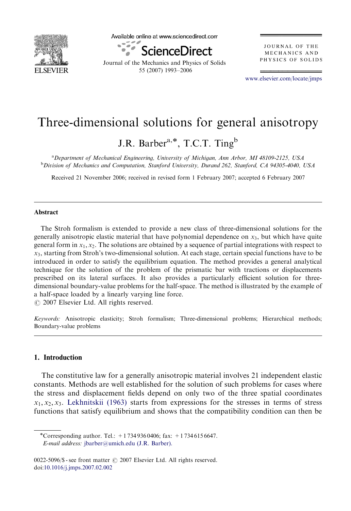

Available online at www.sciencedirect.com



Journal of the Mechanics and Physics of Solids 55 (2007) 1993–2006

**JOURNAL OF THE** MECHANICS AND PHYSICS OF SOLIDS

<www.elsevier.com/locate/jmps>

# Three-dimensional solutions for general anisotropy

J.R. Barber<sup>a,\*</sup>, T.C.T. Ting<sup>b</sup>

<sup>a</sup> Department of Mechanical Engineering, University of Michigan, Ann Arbor, MI 48109-2125, USA <sup>b</sup> Division of Mechanics and Computation, Stanford University, Durand 262, Stanford, CA 94305-4040, USA

Received 21 November 2006; received in revised form 1 February 2007; accepted 6 February 2007

## Abstract

The Stroh formalism is extended to provide a new class of three-dimensional solutions for the generally anisotropic elastic material that have polynomial dependence on  $x_3$ , but which have quite general form in  $x_1, x_2$ . The solutions are obtained by a sequence of partial integrations with respect to  $x_3$ , starting from Stroh's two-dimensional solution. At each stage, certain special functions have to be introduced in order to satisfy the equilibrium equation. The method provides a general analytical technique for the solution of the problem of the prismatic bar with tractions or displacements prescribed on its lateral surfaces. It also provides a particularly efficient solution for threedimensional boundary-value problems for the half-space. The method is illustrated by the example of a half-space loaded by a linearly varying line force.

 $O$  2007 Elsevier Ltd. All rights reserved.

Keywords: Anisotropic elasticity; Stroh formalism; Three-dimensional problems; Hierarchical methods; Boundary-value problems

## 1. Introduction

The constitutive law for a generally anisotropic material involves 21 independent elastic constants. Methods are well established for the solution of such problems for cases where the stress and displacement fields depend on only two of the three spatial coordinates  $x_1, x_2, x_3$ . [Lekhnitskii \(1963\)](#page-13-0) starts from expressions for the stresses in terms of stress functions that satisfy equilibrium and shows that the compatibility condition can then be

<sup>-</sup>Corresponding author. Tel.: +1 734 936 0406; fax: +1 734 615 6647. E-mail address: [jbarber@umich.edu \(J.R. Barber\).](mailto:jbarber@umich.edu)

<sup>0022-5096/\$ -</sup> see front matter  $\odot$  2007 Elsevier Ltd. All rights reserved. doi[:10.1016/j.jmps.2007.02.002](dx.doi.org/10.1016/j.jmps.2007.02.002)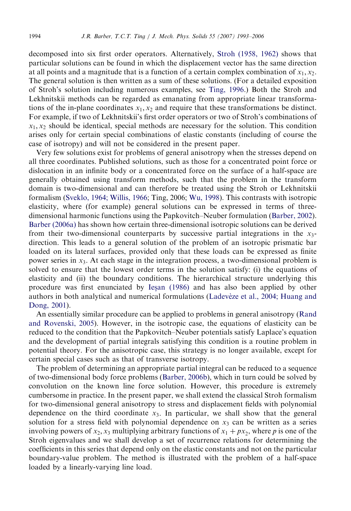decomposed into six first order operators. Alternatively, [Stroh \(1958, 1962\)](#page-13-0) shows that particular solutions can be found in which the displacement vector has the same direction at all points and a magnitude that is a function of a certain complex combination of  $x_1, x_2$ . The general solution is then written as a sum of these solutions. (For a detailed exposition of Stroh's solution including numerous examples, see [Ting, 1996](#page-13-0).) Both the Stroh and Lekhnitskii methods can be regarded as emanating from appropriate linear transformations of the in-plane coordinates  $x_1, x_2$  and require that these transformations be distinct. For example, if two of Lekhnitskii's first order operators or two of Stroh's combinations of  $x_1, x_2$  should be identical, special methods are necessary for the solution. This condition arises only for certain special combinations of elastic constants (including of course the case of isotropy) and will not be considered in the present paper.

Very few solutions exist for problems of general anisotropy when the stresses depend on all three coordinates. Published solutions, such as those for a concentrated point force or dislocation in an infinite body or a concentrated force on the surface of a half-space are generally obtained using transform methods, such that the problem in the transform domain is two-dimensional and can therefore be treated using the Stroh or Lekhnitskii formalism ([Sveklo, 1964; Willis, 1966](#page-13-0); Ting, 2006; [Wu, 1998\)](#page-13-0). This contrasts with isotropic elasticity, where (for example) general solutions can be expressed in terms of threedimensional harmonic functions using the Papkovitch–Neuber formulation [\(Barber, 2002](#page-13-0)). [Barber \(2006a\)](#page-13-0) has shown how certain three-dimensional isotropic solutions can be derived from their two-dimensional counterparts by successive partial integrations in the  $x_3$ direction. This leads to a general solution of the problem of an isotropic prismatic bar loaded on its lateral surfaces, provided only that these loads can be expressed as finite power series in  $x_3$ . At each stage in the integration process, a two-dimensional problem is solved to ensure that the lowest order terms in the solution satisfy: (i) the equations of elasticity and (ii) the boundary conditions. The hierarchical structure underlying this procedure was first enunciated by [Ies](#page-13-0)[an \(1986\)](#page-13-0) and has also been applied by other authors in both analytical and numerical formulations (Ladevèze et al., 2004; Huang and [Dong, 2001\)](#page-13-0).

An essentially similar procedure can be applied to problems in general anisotropy ([Rand](#page-13-0) [and Rovenski, 2005](#page-13-0)). However, in the isotropic case, the equations of elasticity can be reduced to the condition that the Papkovitch–Neuber potentials satisfy Laplace's equation and the development of partial integrals satisfying this condition is a routine problem in potential theory. For the anisotropic case, this strategy is no longer available, except for certain special cases such as that of transverse isotropy.

The problem of determining an appropriate partial integral can be reduced to a sequence of two-dimensional body force problems [\(Barber, 2006b](#page-13-0)), which in turn could be solved by convolution on the known line force solution. However, this procedure is extremely cumbersome in practice. In the present paper, we shall extend the classical Stroh formalism for two-dimensional general anisotropy to stress and displacement fields with polynomial dependence on the third coordinate  $x_3$ . In particular, we shall show that the general solution for a stress field with polynomial dependence on  $x_3$  can be written as a series involving powers of  $x_2$ ,  $x_3$  multiplying arbitrary functions of  $x_1 + px_2$ , where p is one of the Stroh eigenvalues and we shall develop a set of recurrence relations for determining the coefficients in this series that depend only on the elastic constants and not on the particular boundary-value problem. The method is illustrated with the problem of a half-space loaded by a linearly-varying line load.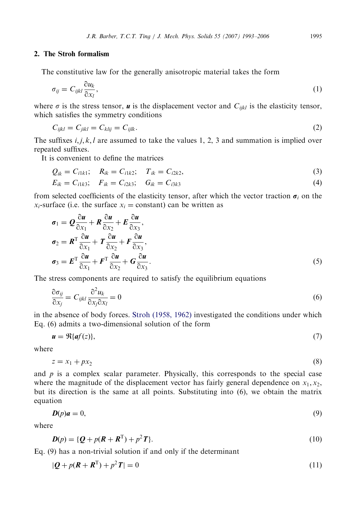## 2. The Stroh formalism

The constitutive law for the generally anisotropic material takes the form

$$
\sigma_{ij} = C_{ijkl} \frac{\partial u_k}{\partial x_l},\tag{1}
$$

where  $\sigma$  is the stress tensor, **u** is the displacement vector and  $C_{ijkl}$  is the elasticity tensor, which satisfies the symmetry conditions

$$
C_{ijkl} = C_{jikl} = C_{klij} = C_{ijlk}.
$$
\n
$$
(2)
$$

The suffixes  $i, j, k, l$  are assumed to take the values 1, 2, 3 and summation is implied over repeated suffixes.

It is convenient to define the matrices

$$
Q_{ik} = C_{i1k1}; \quad R_{ik} = C_{i1k2}; \quad T_{ik} = C_{i2k2}, \tag{3}
$$

$$
E_{ik} = C_{i1k3}; \quad F_{ik} = C_{i2k3}; \quad G_{ik} = C_{i3k3}
$$
 (4)

from selected coefficients of the elasticity tensor, after which the vector traction  $\sigma_i$  on the  $x_i$ -surface (i.e. the surface  $x_i$  = constant) can be written as

$$
\sigma_1 = Q \frac{\partial u}{\partial x_1} + R \frac{\partial u}{\partial x_2} + E \frac{\partial u}{\partial x_3},
$$
  
\n
$$
\sigma_2 = R^T \frac{\partial u}{\partial x_1} + T \frac{\partial u}{\partial x_2} + F \frac{\partial u}{\partial x_3},
$$
  
\n
$$
\sigma_3 = E^T \frac{\partial u}{\partial x_1} + F^T \frac{\partial u}{\partial x_2} + G \frac{\partial u}{\partial x_3}.
$$
  
\n(5)

The stress components are required to satisfy the equilibrium equations

$$
\frac{\partial \sigma_{ij}}{\partial x_j} = C_{ijkl} \frac{\partial^2 u_k}{\partial x_j \partial x_l} = 0
$$
\n(6)

in the absence of body forces. [Stroh \(1958, 1962\)](#page-13-0) investigated the conditions under which Eq. (6) admits a two-dimensional solution of the form

$$
\mathbf{u} = \Re{\{\mathbf{a}f(z)\}},\tag{7}
$$

where

$$
z = x_1 + px_2 \tag{8}
$$

and  $p$  is a complex scalar parameter. Physically, this corresponds to the special case where the magnitude of the displacement vector has fairly general dependence on  $x_1, x_2$ , but its direction is the same at all points. Substituting into (6), we obtain the matrix equation

$$
D(p)a = 0,\t\t(9)
$$

where

$$
D(p) = \{Q + p(R + R^{T}) + p^{2}T\}.
$$
\n(10)

Eq. (9) has a non-trivial solution if and only if the determinant

$$
|\mathbf{Q} + p(\mathbf{R} + \mathbf{R}^{\mathrm{T}}) + p^2 \mathbf{T}| = 0 \tag{11}
$$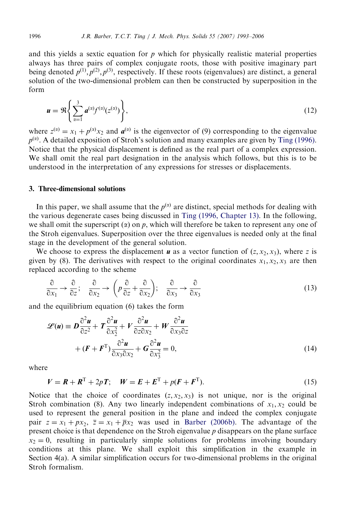and this yields a sextic equation for  $p$  which for physically realistic material properties always has three pairs of complex conjugate roots, those with positive imaginary part being denoted  $p^{(1)}$ ,  $p^{(2)}$ ,  $p^{(3)}$ , respectively. If these roots (eigenvalues) are distinct, a general solution of the two-dimensional problem can then be constructed by superposition in the form

$$
\mathbf{u} = \Re \left\{ \sum_{\alpha=1}^{3} \mathbf{a}^{(\alpha)} f^{(\alpha)}(z^{(\alpha)}) \right\},\tag{12}
$$

where  $z^{(\alpha)} = x_1 + p^{(\alpha)}x_2$  and  $a^{(\alpha)}$  is the eigenvector of (9) corresponding to the eigenvalue  $p^{(\alpha)}$ . A detailed exposition of Stroh's solution and many examples are given by [Ting \(1996\).](#page-13-0) Notice that the physical displacement is defined as the real part of a complex expression. We shall omit the real part designation in the analysis which follows, but this is to be understood in the interpretation of any expressions for stresses or displacements.

# 3. Three-dimensional solutions

In this paper, we shall assume that the  $p^{(\alpha)}$  are distinct, special methods for dealing with the various degenerate cases being discussed in [Ting \(1996, Chapter 13\)](#page-13-0). In the following, we shall omit the superscript  $(x)$  on p, which will therefore be taken to represent any one of the Stroh eigenvalues. Superposition over the three eigenvalues is needed only at the final stage in the development of the general solution.

We choose to express the displacement **u** as a vector function of  $(z, x_2, x_3)$ , where z is given by (8). The derivatives with respect to the original coordinates  $x_1, x_2, x_3$  are then replaced according to the scheme

$$
\frac{\partial}{\partial x_1} \to \frac{\partial}{\partial z}; \quad \frac{\partial}{\partial x_2} \to \left( p \frac{\partial}{\partial z} + \frac{\partial}{\partial x_2} \right); \quad \frac{\partial}{\partial x_3} \to \frac{\partial}{\partial x_3}
$$
(13)

and the equilibrium equation (6) takes the form

$$
\mathcal{L}(\mathbf{u}) = \mathbf{D} \frac{\partial^2 \mathbf{u}}{\partial z^2} + \mathbf{T} \frac{\partial^2 \mathbf{u}}{\partial x_2^2} + V \frac{\partial^2 \mathbf{u}}{\partial z \partial x_2} + W \frac{\partial^2 \mathbf{u}}{\partial x_3 \partial z} + (\mathbf{F} + \mathbf{F}^T) \frac{\partial^2 \mathbf{u}}{\partial x_3 \partial x_2} + \mathbf{G} \frac{\partial^2 \mathbf{u}}{\partial x_3^2} = 0,
$$
(14)

where

$$
V = R + R^{T} + 2pT; \quad W = E + E^{T} + p(F + F^{T}).
$$
\n(15)

Notice that the choice of coordinates  $(z, x_2, x_3)$  is not unique, nor is the original Stroh combination (8). Any two linearly independent combinations of  $x_1, x_2$  could be used to represent the general position in the plane and indeed the complex conjugate pair  $z = x_1 + px_2$ ,  $\overline{z} = x_1 + \overline{p}x_2$  was used in [Barber \(2006b\)](#page-13-0). The advantage of the present choice is that dependence on the Stroh eigenvalue p disappears on the plane surface  $x_2 = 0$ , resulting in particularly simple solutions for problems involving boundary conditions at this plane. We shall exploit this simplification in the example in Section 4(a). A similar simplification occurs for two-dimensional problems in the original Stroh formalism.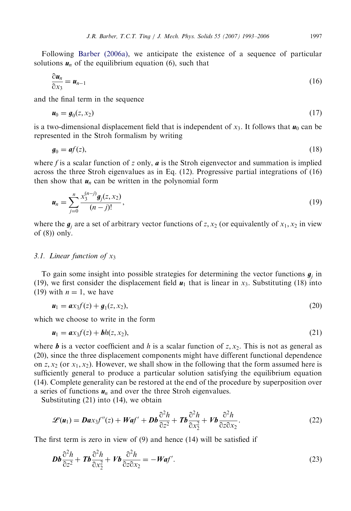Following [Barber \(2006a\),](#page-13-0) we anticipate the existence of a sequence of particular solutions  $u_n$  of the equilibrium equation (6), such that

$$
\frac{\partial \boldsymbol{u}_n}{\partial x_3} = \boldsymbol{u}_{n-1} \tag{16}
$$

and the final term in the sequence

$$
\boldsymbol{u}_0 = \boldsymbol{g}_0(z, x_2) \tag{17}
$$

is a two-dimensional displacement field that is independent of  $x_3$ . It follows that  $u_0$  can be represented in the Stroh formalism by writing

$$
\mathbf{g}_0 = \mathbf{a}f(z),\tag{18}
$$

where f is a scalar function of z only,  $\boldsymbol{a}$  is the Stroh eigenvector and summation is implied across the three Stroh eigenvalues as in Eq. (12). Progressive partial integrations of (16) then show that  $u_n$  can be written in the polynomial form

$$
\mathbf{u}_n = \sum_{j=0}^n \frac{x_3^{(n-j)} g_j(z, x_2)}{(n-j)!},\tag{19}
$$

where the  $g_i$  are a set of arbitrary vector functions of z,  $x_2$  (or equivalently of  $x_1, x_2$  in view of  $(8)$ ) only.

## 3.1. Linear function of  $x_3$

To gain some insight into possible strategies for determining the vector functions  $g_i$  in (19), we first consider the displacement field  $u_1$  that is linear in  $x_3$ . Substituting (18) into (19) with  $n = 1$ , we have

$$
u_1 = ax_3f(z) + g_1(z, x_2),
$$
\n(20)

which we choose to write in the form

$$
\boldsymbol{u}_1 = \boldsymbol{a} x_3 f(z) + \boldsymbol{b} h(z, x_2), \tag{21}
$$

where **b** is a vector coefficient and h is a scalar function of  $z, x<sub>2</sub>$ . This is not as general as (20), since the three displacement components might have different functional dependence on z,  $x_2$  (or  $x_1, x_2$ ). However, we shall show in the following that the form assumed here is sufficiently general to produce a particular solution satisfying the equilibrium equation (14). Complete generality can be restored at the end of the procedure by superposition over a series of functions  $u_n$  and over the three Stroh eigenvalues.

Substituting (21) into (14), we obtain

$$
\mathscr{L}(\boldsymbol{u}_1) = \boldsymbol{D} \boldsymbol{a} \boldsymbol{x}_3 f''(\boldsymbol{z}) + \boldsymbol{W} \boldsymbol{a} f' + \boldsymbol{D} \boldsymbol{b} \frac{\partial^2 h}{\partial \boldsymbol{z}^2} + \boldsymbol{T} \boldsymbol{b} \frac{\partial^2 h}{\partial \boldsymbol{x}_2^2} + \boldsymbol{V} \boldsymbol{b} \frac{\partial^2 h}{\partial \boldsymbol{z} \partial \boldsymbol{x}_2}.
$$
 (22)

The first term is zero in view of (9) and hence (14) will be satisfied if

$$
\mathbf{Db}\frac{\partial^2 h}{\partial z^2} + \mathbf{Tb}\frac{\partial^2 h}{\partial x_2^2} + V\mathbf{b}\frac{\partial^2 h}{\partial z \partial x_2} = -\mathbf{Waf}^{\prime}.
$$
 (23)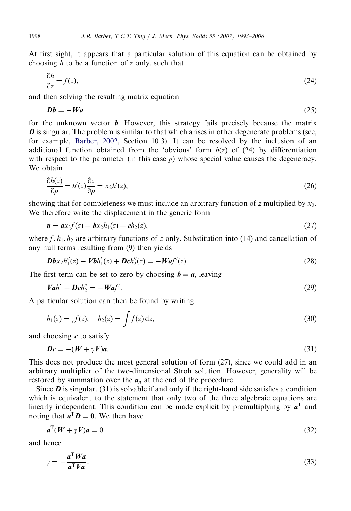At first sight, it appears that a particular solution of this equation can be obtained by choosing  $h$  to be a function of z only, such that

$$
\frac{\partial h}{\partial z} = f(z),\tag{24}
$$

and then solving the resulting matrix equation

$$
Db = -Wa \tag{25}
$$

for the unknown vector  $\boldsymbol{b}$ . However, this strategy fails precisely because the matrix  $\bm{D}$  is singular. The problem is similar to that which arises in other degenerate problems (see, for example, [Barber, 2002,](#page-13-0) Section 10.3). It can be resolved by the inclusion of an additional function obtained from the 'obvious' form  $h(z)$  of (24) by differentiation with respect to the parameter (in this case  $p$ ) whose special value causes the degeneracy. We obtain

$$
\frac{\partial h(z)}{\partial p} = h'(z)\frac{\partial z}{\partial p} = x_2h'(z),\tag{26}
$$

showing that for completeness we must include an arbitrary function of z multiplied by  $x_2$ . We therefore write the displacement in the generic form

$$
u = ax_3f(z) + bx_2h_1(z) + ch_2(z),
$$
\n(27)

where  $f, h_1, h_2$  are arbitrary functions of z only. Substitution into (14) and cancellation of any null terms resulting from (9) then yields

$$
Dbx_2h_1''(z) + Vbh_1'(z) + Dch_2''(z) = -Waf'(z).
$$
\n(28)

The first term can be set to zero by choosing  $\mathbf{b} = \mathbf{a}$ , leaving

$$
Val_1' + Dch_2'' = -Waf'.
$$
\n
$$
(29)
$$

A particular solution can then be found by writing

$$
h_1(z) = \gamma f(z); \quad h_2(z) = \int f(z) dz,
$$
 (30)

and choosing  $c$  to satisfy

$$
Dc = -(W + \gamma V)a. \tag{31}
$$

This does not produce the most general solution of form  $(27)$ , since we could add in an arbitrary multiplier of the two-dimensional Stroh solution. However, generality will be restored by summation over the  $u_n$  at the end of the procedure.

Since  $\bm{D}$  is singular, (31) is solvable if and only if the right-hand side satisfies a condition which is equivalent to the statement that only two of the three algebraic equations are linearly independent. This condition can be made explicit by premultiplying by  $a^T$  and noting that  $\mathbf{a}^{\mathrm{T}}\mathbf{D} = \mathbf{0}$ . We then have

$$
a^{\mathrm{T}}(W + \gamma V)a = 0 \tag{32}
$$

and hence

$$
\gamma = -\frac{a^{\mathrm{T}} W a}{a^{\mathrm{T}} V a}.\tag{33}
$$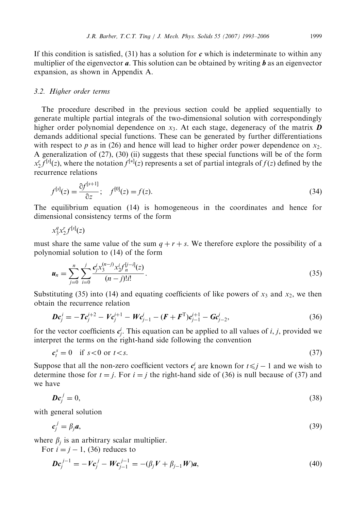If this condition is satisfied,  $(31)$  has a solution for c which is indeterminate to within any multiplier of the eigenvector  $\boldsymbol{a}$ . This solution can be obtained by writing  $\boldsymbol{b}$  as an eigenvector expansion, as shown in Appendix A.

#### 3.2. Higher order terms

The procedure described in the previous section could be applied sequentially to generate multiple partial integrals of the two-dimensional solution with correspondingly higher order polynomial dependence on  $x_3$ . At each stage, degeneracy of the matrix  $\boldsymbol{D}$ demands additional special functions. These can be generated by further differentiations with respect to p as in (26) and hence will lead to higher order power dependence on  $x_2$ . A generalization of (27), (30) (ii) suggests that these special functions will be of the form  $x_2^r f^{[s]}(z)$ , where the notation  $f^{[*]}(z)$  represents a set of partial integrals of  $f(z)$  defined by the recurrence relations

$$
f^{[s]}(z) = \frac{\partial f^{[s+1]}}{\partial z}; \quad f^{[0]}(z) = f(z). \tag{34}
$$

The equilibrium equation (14) is homogeneous in the coordinates and hence for dimensional consistency terms of the form

$$
x_3^q x_2^r f^{[s]}(z)
$$

must share the same value of the sum  $q + r + s$ . We therefore explore the possibility of a polynomial solution to (14) of the form

$$
u_n = \sum_{j=0}^n \sum_{i=0}^j \frac{c_j^i x_3^{(n-j)} x_2^i f_n^{[j-i]}(z)}{(n-j)!i!}.
$$
\n(35)

Substituting (35) into (14) and equating coefficients of like powers of  $x_3$  and  $x_2$ , we then obtain the recurrence relation

$$
Dc_j^i = -Tc_j^{i+2} - Ve_j^{i+1} - We_{j-1}^i - (F + F^T)c_{j-1}^{i+1} - Ge_{j-2}^i,
$$
\n(36)

for the vector coefficients  $c_j^i$ . This equation can be applied to all values of *i*, *j*, provided we interpret the terms on the right-hand side following the convention

$$
c_t^s = 0 \quad \text{if } s < 0 \text{ or } t < s. \tag{37}
$$

Suppose that all the non-zero coefficient vectors  $c_t^i$  are known for  $t \le j - 1$  and we wish to determine those for  $t = j$ . For  $i = j$  the right-hand side of (36) is null because of (37) and we have

$$
Dc_j^j = 0,\t\t(38)
$$

with general solution

$$
c_j^j = \beta_j a,\tag{39}
$$

where  $\beta_i$  is an arbitrary scalar multiplier.

For  $i = j - 1$ , (36) reduces to

$$
Dc_j^{j-1} = -Vc_j^j - Wc_{j-1}^{j-1} = -(\beta_j V + \beta_{j-1} W)a,
$$
\n(40)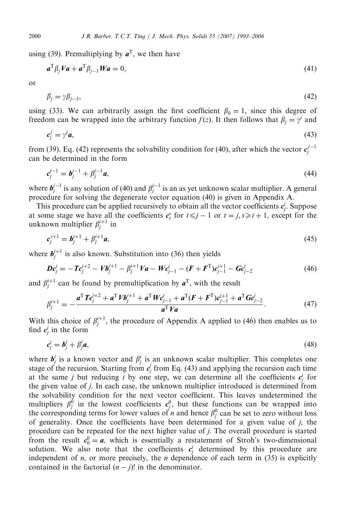using (39). Premultiplying by  $a^T$ , we then have

$$
a^{\mathrm{T}}\beta_j Va + a^{\mathrm{T}}\beta_{j-1} Wa = 0,\tag{41}
$$

or

$$
\beta_j = \gamma \beta_{j-1},\tag{42}
$$

using (33). We can arbitrarily assign the first coefficient  $\beta_0 = 1$ , since this degree of freedom can be wrapped into the arbitrary function  $f(z)$ . It then follows that  $\beta_i = \gamma^i$  and

$$
c_j^j = \gamma^j a,\tag{43}
$$

from (39). Eq. (42) represents the solvability condition for (40), after which the vector  $c_j^{j-1}$ can be determined in the form

$$
c_j^{j-1} = b_j^{j-1} + \beta_j^{j-1} a,\tag{44}
$$

where  $b_j^{j-1}$  is any solution of (40) and  $\beta_j^{j-1}$  is an as yet unknown scalar multiplier. A general procedure for solving the degenerate vector equation (40) is given in Appendix A.

This procedure can be applied recursively to obtain all the vector coefficients  $c_j^i$ . Suppose at some stage we have all the coefficients  $c_i^s$  for  $t \le j - 1$  or  $t = j, s \ge i + 1$ , except for the unknown multiplier  $\beta_j^{i+1}$  in

$$
c_j^{i+1} = b_j^{i+1} + \beta_j^{i+1} a,\tag{45}
$$

where  $b_j^{i+1}$  is also known. Substitution into (36) then yields

$$
Dc_j^i = -Tc_j^{i+2} - Vb_j^{i+1} - \beta_j^{i+1}Va - Wc_{j-1}^i - (F + F^T)c_{j-1}^{i+1} - Gc_{j-2}^i
$$
\n(46)

and  $\beta_j^{i+1}$  can be found by premultiplication by  $a^T$ , with the result

$$
\beta_j^{i+1} = -\frac{a^{\mathrm{T}} T c_j^{i+2} + a^{\mathrm{T}} V b_j^{i+1} + a^{\mathrm{T}} W c_{j-1}^i + a^{\mathrm{T}} (F + F^{\mathrm{T}}) c_{j-1}^{i+1} + a^{\mathrm{T}} G c_{j-2}^i}{a^{\mathrm{T}} V a}.
$$
\n(47)

With this choice of  $\beta_j^{i+1}$ , the procedure of Appendix A applied to (46) then enables us to find  $c_j^i$  in the form

$$
c_j^i = \mathbf{b}_j^i + \beta_j^i \mathbf{a},\tag{48}
$$

where  $b_j^i$  is a known vector and  $\beta_j^i$  is an unknown scalar multiplier. This completes one stage of the recursion. Starting from  $c_j$  from Eq. (43) and applying the recursion each time at the same j but reducing i by one step, we can determine all the coefficients  $c_j^i$  for the given value of j. In each case, the unknown multiplier introduced is determined from the solvability condition for the next vector coefficient. This leaves undetermined the multipliers  $\beta_j^0$  in the lowest coefficients  $c_j^0$ , but these functions can be wrapped into the corresponding terms for lower values of *n* and hence  $\beta_j^0$  can be set to zero without loss of generality. Once the coefficients have been determined for a given value of j, the procedure can be repeated for the next higher value of j. The overall procedure is started from the result  $c_0^0 = a$ , which is essentially a restatement of Stroh's two-dimensional solution. We also note that the coefficients  $c_j^i$  determined by this procedure are independent of *n*, or more precisely, the *n* dependence of each term in  $(35)$  is explicitly contained in the factorial  $(n - j)!$  in the denominator.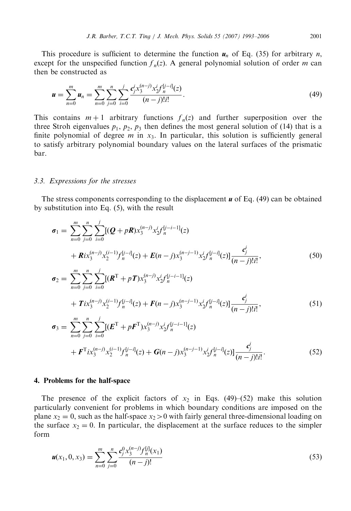This procedure is sufficient to determine the function  $u_n$  of Eq. (35) for arbitrary n, except for the unspecified function  $f_n(z)$ . A general polynomial solution of order m can then be constructed as

$$
\mathbf{u} = \sum_{n=0}^{m} \mathbf{u}_n = \sum_{n=0}^{m} \sum_{j=0}^{n} \sum_{i=0}^{j} \frac{c_j^i x_3^{(n-j)} x_2^i f_n^{[j-i]}(z)}{(n-j)! i!}.
$$
 (49)

This contains  $m + 1$  arbitrary functions  $f_n(z)$  and further superposition over the three Stroh eigenvalues  $p_1$ ,  $p_2$ ,  $p_3$  then defines the most general solution of (14) that is a finite polynomial of degree  $m$  in  $x_3$ . In particular, this solution is sufficiently general to satisfy arbitrary polynomial boundary values on the lateral surfaces of the prismatic bar.

### 3.3. Expressions for the stresses

The stress components corresponding to the displacement  $\boldsymbol{u}$  of Eq. (49) can be obtained by substitution into Eq. (5), with the result

$$
\sigma_{1} = \sum_{n=0}^{m} \sum_{j=0}^{n} \sum_{i=0}^{j} [(Q + pR)x_{3}^{(n-j)}x_{2}^{i}f_{n}^{[j-i-1]}(z) \n+ Rix_{3}^{(n-j)}x_{2}^{(i-1)}f_{n}^{[j-i]}(z) + E(n-j)x_{3}^{(n-j-1)}x_{2}^{i}f_{n}^{[j-i]}(z)] \frac{c_{j}^{i}}{(n-j)!i!},
$$
\n(50)  
\n
$$
\sigma_{2} = \sum_{n=0}^{m} \sum_{j=0}^{n} \sum_{i=0}^{j} [(R^{T} + pT)x_{3}^{(n-j)}x_{2}^{i}f_{n}^{[j-i-1]}(z) \n+ Tix_{3}^{(n-j)}x_{2}^{(i-1)}f_{n}^{[j-i]}(z) + F(n-j)x_{3}^{(n-j-1)}x_{2}^{i}f_{n}^{[j-i]}(z)] \frac{c_{j}^{i}}{(n-j)!i!},
$$
\n(51)  
\n
$$
\sigma_{3} = \sum_{n=0}^{m} \sum_{j=0}^{n} \sum_{i=0}^{j} [(E^{T} + pF^{T})x_{3}^{(n-j)}x_{2}^{i}f_{n}^{[j-i-1]}(z) \n+ F^{T}ix_{3}^{(n-j)}x_{2}^{(i-1)}f_{n}^{[j-i]}(z) + G(n-j)x_{3}^{(n-j-1)}x_{2}^{i}f_{n}^{[j-i]}(z)] \frac{c_{j}^{i}}{(n-j)!i!}.
$$
\n(52)

#### 4. Problems for the half-space

The presence of the explicit factors of  $x_2$  in Eqs. (49)–(52) make this solution particularly convenient for problems in which boundary conditions are imposed on the plane  $x_2 = 0$ , such as the half-space  $x_2 > 0$  with fairly general three-dimensional loading on the surface  $x_2 = 0$ . In particular, the displacement at the surface reduces to the simpler form

$$
u(x_1, 0, x_3) = \sum_{n=0}^{m} \sum_{j=0}^{n} \frac{c_j^0 x_3^{(n-j)} f_n^{[j]}(x_1)}{(n-j)!}
$$
(53)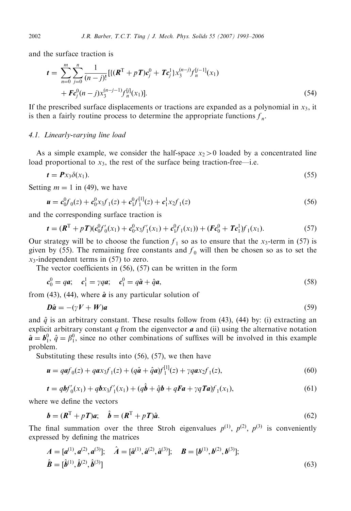and the surface traction is

$$
t = \sum_{n=0}^{m} \sum_{j=0}^{n} \frac{1}{(n-j)!} [ \{ (\mathbf{R}^{T} + p \mathbf{T}) \mathbf{c}_{j}^{0} + \mathbf{T} \mathbf{c}_{j}^{1} \} x_{3}^{(n-j)} f_{n}^{[j-1]}(x_{1}) + \mathbf{F} \mathbf{c}_{j}^{0}(n-j) x_{3}^{(n-j-1)} f_{n}^{[j]}(x_{1}) ].
$$
\n(54)

If the prescribed surface displacements or tractions are expanded as a polynomial in  $x_3$ , it is then a fairly routine process to determine the appropriate functions  $f_n$ .

## 4.1. Linearly-varying line load

As a simple example, we consider the half-space  $x_2>0$  loaded by a concentrated line load proportional to  $x_3$ , the rest of the surface being traction-free—i.e.

$$
t = Px_3\delta(x_1). \tag{55}
$$

Setting  $m = 1$  in (49), we have

$$
\mathbf{u} = c_0^0 f_0(z) + c_0^0 x_3 f_1(z) + c_1^0 f_1^{[1]}(z) + c_1^1 x_2 f_1(z)
$$
\n(56)

and the corresponding surface traction is

$$
\boldsymbol{t} = (\boldsymbol{R}^{T} + p \boldsymbol{T}) (\boldsymbol{c}_{0}^{0} \boldsymbol{f}_{0}^{\prime}(x_{1}) + \boldsymbol{c}_{0}^{0} x_{3} \boldsymbol{f}_{1}^{\prime}(x_{1}) + \boldsymbol{c}_{1}^{0} \boldsymbol{f}_{1}(x_{1})) + (\boldsymbol{F} \boldsymbol{c}_{0}^{0} + \boldsymbol{T} \boldsymbol{c}_{1}^{1}) \boldsymbol{f}_{1}(x_{1}). \tag{57}
$$

Our strategy will be to choose the function  $f_1$  so as to ensure that the  $x_3$ -term in (57) is given by (55). The remaining free constants and  $f_0$  will then be chosen so as to set the  $x_3$ -independent terms in (57) to zero.

The vector coefficients in (56), (57) can be written in the form

$$
c_0^0 = qa; \quad c_1^1 = \gamma qa; \quad c_1^0 = q\hat{a} + \hat{q}a,\tag{58}
$$

from (43), (44), where  $\hat{a}$  is any particular solution of

$$
D\hat{a} = -(\gamma V + W)a \tag{59}
$$

and  $\hat{q}$  is an arbitrary constant. These results follow from (43), (44) by: (i) extracting an explicit arbitrary constant  $q$  from the eigenvector  $\boldsymbol{a}$  and (ii) using the alternative notation  $\hat{\boldsymbol{a}} = \boldsymbol{b}_1^0$ ,  $\hat{q} = \beta_1^0$ , since no other combinations of suffixes will be involved in this example problem.

Substituting these results into (56), (57), we then have

$$
\mathbf{u} = q\mathbf{a}f_0(z) + q\mathbf{a}x_3f_1(z) + (q\hat{\mathbf{a}} + \hat{q}\mathbf{a})f_1^{[1]}(z) + \gamma q\mathbf{a}x_2f_1(z),\tag{60}
$$

$$
t = qbf_0''(x_1) + qbx_3f_1'(x_1) + (q\hat{b} + \hat{q}b + qFa + \gamma qTa)f_1(x_1),
$$
\n(61)

where we define the vectors

$$
\boldsymbol{b} = (\boldsymbol{R}^{\mathrm{T}} + p\boldsymbol{T})\boldsymbol{a}; \quad \hat{\boldsymbol{b}} = (\boldsymbol{R}^{\mathrm{T}} + p\boldsymbol{T})\hat{\boldsymbol{a}}.
$$
\n(62)

The final summation over the three Stroh eigenvalues  $p^{(1)}$ ,  $p^{(2)}$ ,  $p^{(3)}$  is conveniently expressed by defining the matrices

$$
A = [a^{(1)}, a^{(2)}, a^{(3)}]; \quad \hat{A} = [\hat{a}^{(1)}, \hat{a}^{(2)}, \hat{a}^{(3)}]; \quad B = [b^{(1)}, b^{(2)}, b^{(3)}];
$$
  

$$
\hat{B} = [\hat{b}^{(1)}, \hat{b}^{(2)}, \hat{b}^{(3)}]
$$
 (63)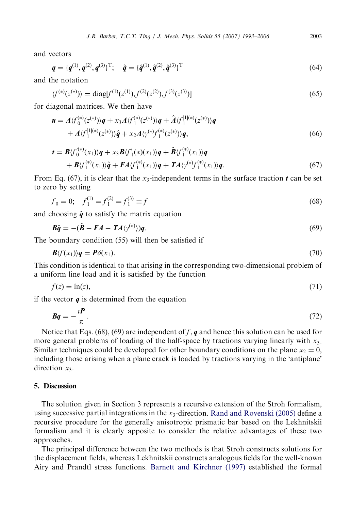and vectors

$$
\boldsymbol{q} = \{q^{(1)}, q^{(2)}, q^{(3)}\}^{\mathrm{T}}; \quad \hat{\boldsymbol{q}} = \{\hat{\boldsymbol{q}}^{(1)}, \hat{\boldsymbol{q}}^{(2)}, \hat{\boldsymbol{q}}^{(3)}\}^{\mathrm{T}} \tag{64}
$$

and the notation

$$
\langle f^{(*)}(z^{(*)}) \rangle = \text{diag}[f^{(1)}(z^{(1)}), f^{(2)}(z^{(2)}), f^{(3)}(z^{(3)})] \tag{65}
$$

for diagonal matrices. We then have

$$
\mathbf{u} = A \langle f_0^{(*)}(z^{(*)}) \rangle \mathbf{q} + x_3 A \langle f_1^{(*)}(z^{(*)}) \rangle \mathbf{q} + \hat{A} \langle f_1^{[1](*)}(z^{(*)}) \rangle \mathbf{q} + A \langle f_1^{[1](*)}(z^{(*)}) \rangle \hat{\mathbf{q}} + x_2 A \langle \gamma^{(*)} f_1^{(*)}(z^{(*)}) \rangle \mathbf{q},
$$
(66)

$$
\begin{split} t &= \mathbf{B} \langle f_0^{\prime(*)}(x_1) \rangle \mathbf{q} + x_3 \mathbf{B} \langle f_1^{\prime}(*)(x_1) \rangle \mathbf{q} + \hat{\mathbf{B}} \langle f_1^{(*)}(x_1) \rangle \mathbf{q} \\ &+ \mathbf{B} \langle f_1^{(*)}(x_1) \rangle \hat{\mathbf{q}} + \mathbf{F} A \langle f_1^{(*)}(x_1) \rangle \mathbf{q} + \mathbf{T} A \langle \gamma^{(*)} f_1^{(*)}(x_1) \rangle \mathbf{q}. \end{split} \tag{67}
$$

From Eq. (67), it is clear that the  $x_3$ -independent terms in the surface traction t can be set to zero by setting

$$
f_0 = 0; \quad f_1^{(1)} = f_1^{(2)} = f_1^{(3)} \equiv f \tag{68}
$$

and choosing  $\hat{q}$  to satisfy the matrix equation

$$
\mathbf{B}\hat{\mathbf{q}} = -(\hat{\mathbf{B}} - \mathbf{F}\mathbf{A} - \mathbf{T}\mathbf{A}\langle\gamma^{(*)}\rangle)\mathbf{q}.\tag{69}
$$

The boundary condition (55) will then be satisfied if

$$
\mathbf{B}\langle f(x_1)\rangle \mathbf{q} = \mathbf{P}\delta(x_1). \tag{70}
$$

This condition is identical to that arising in the corresponding two-dimensional problem of a uniform line load and it is satisfied by the function

$$
f(z) = \ln(z),\tag{71}
$$

if the vector  $q$  is determined from the equation

$$
Bq = -\frac{iP}{\pi}.\tag{72}
$$

Notice that Eqs. (68), (69) are independent of f, q and hence this solution can be used for more general problems of loading of the half-space by tractions varying linearly with  $x_3$ . Similar techniques could be developed for other boundary conditions on the plane  $x_2 = 0$ , including those arising when a plane crack is loaded by tractions varying in the 'antiplane' direction  $x_3$ .

## 5. Discussion

The solution given in Section 3 represents a recursive extension of the Stroh formalism, using successive partial integrations in the  $x_3$ -direction. [Rand and Rovenski \(2005\)](#page-13-0) define a recursive procedure for the generally anisotropic prismatic bar based on the Lekhnitskii formalism and it is clearly apposite to consider the relative advantages of these two approaches.

The principal difference between the two methods is that Stroh constructs solutions for the displacement fields, whereas Lekhnitskii constructs analogous fields for the well-known Airy and Prandtl stress functions. [Barnett and Kirchner \(1997\)](#page-13-0) established the formal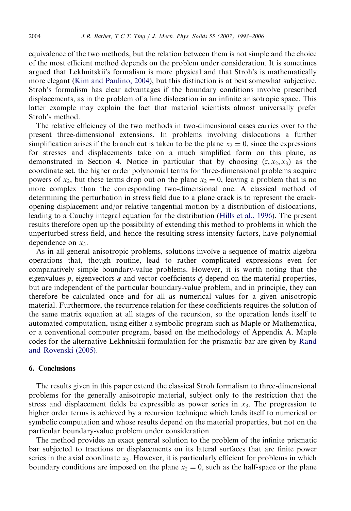equivalence of the two methods, but the relation between them is not simple and the choice of the most efficient method depends on the problem under consideration. It is sometimes argued that Lekhnitskii's formalism is more physical and that Stroh's is mathematically more elegant ([Kim and Paulino, 2004](#page-13-0)), but this distinction is at best somewhat subjective. Stroh's formalism has clear advantages if the boundary conditions involve prescribed displacements, as in the problem of a line dislocation in an infinite anisotropic space. This latter example may explain the fact that material scientists almost universally prefer Stroh's method.

The relative efficiency of the two methods in two-dimensional cases carries over to the present three-dimensional extensions. In problems involving dislocations a further simplification arises if the branch cut is taken to be the plane  $x_2 = 0$ , since the expressions for stresses and displacements take on a much simplified form on this plane, as demonstrated in Section 4. Notice in particular that by choosing  $(z, x_2, x_3)$  as the coordinate set, the higher order polynomial terms for three-dimensional problems acquire powers of  $x_2$ , but these terms drop out on the plane  $x_2 = 0$ , leaving a problem that is no more complex than the corresponding two-dimensional one. A classical method of determining the perturbation in stress field due to a plane crack is to represent the crackopening displacement and/or relative tangential motion by a distribution of dislocations, leading to a Cauchy integral equation for the distribution ([Hills et al., 1996\)](#page-13-0). The present results therefore open up the possibility of extending this method to problems in which the unperturbed stress field, and hence the resulting stress intensity factors, have polynomial dependence on  $x_3$ .

As in all general anisotropic problems, solutions involve a sequence of matrix algebra operations that, though routine, lead to rather complicated expressions even for comparatively simple boundary-value problems. However, it is worth noting that the eigenvalues p, eigenvectors **a** and vector coefficients  $c_j^i$  depend on the material properties, but are independent of the particular boundary-value problem, and in principle, they can therefore be calculated once and for all as numerical values for a given anisotropic material. Furthermore, the recurrence relation for these coefficients requires the solution of the same matrix equation at all stages of the recursion, so the operation lends itself to automated computation, using either a symbolic program such as Maple or Mathematica, or a conventional computer program, based on the methodology of Appendix A. Maple codes for the alternative Lekhnitskii formulation for the prismatic bar are given by [Rand](#page-13-0) [and Rovenski \(2005\).](#page-13-0)

## 6. Conclusions

The results given in this paper extend the classical Stroh formalism to three-dimensional problems for the generally anisotropic material, subject only to the restriction that the stress and displacement fields be expressible as power series in  $x<sub>3</sub>$ . The progression to higher order terms is achieved by a recursion technique which lends itself to numerical or symbolic computation and whose results depend on the material properties, but not on the particular boundary-value problem under consideration.

The method provides an exact general solution to the problem of the infinite prismatic bar subjected to tractions or displacements on its lateral surfaces that are finite power series in the axial coordinate  $x_3$ . However, it is particularly efficient for problems in which boundary conditions are imposed on the plane  $x_2 = 0$ , such as the half-space or the plane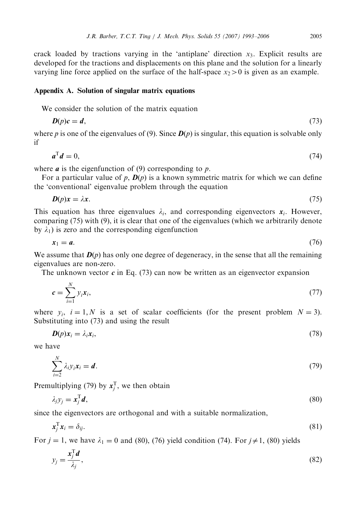crack loaded by tractions varying in the 'antiplane' direction  $x_3$ . Explicit results are developed for the tractions and displacements on this plane and the solution for a linearly varying line force applied on the surface of the half-space  $x_2>0$  is given as an example.

## Appendix A. Solution of singular matrix equations

We consider the solution of the matrix equation

$$
D(p)c = d,\tag{73}
$$

where p is one of the eigenvalues of (9). Since  $D(p)$  is singular, this equation is solvable only if

$$
a^{\mathrm{T}}d = 0,\tag{74}
$$

where  $\boldsymbol{a}$  is the eigenfunction of (9) corresponding to  $\boldsymbol{p}$ .

For a particular value of p,  $\mathbf{D}(p)$  is a known symmetric matrix for which we can define the 'conventional' eigenvalue problem through the equation

$$
D(p)x = \lambda x. \tag{75}
$$

This equation has three eigenvalues  $\lambda_i$ , and corresponding eigenvectors  $x_i$ . However, comparing (75) with (9), it is clear that one of the eigenvalues (which we arbitrarily denote by  $\lambda_1$ ) is zero and the corresponding eigenfunction

$$
x_1 = a. \tag{76}
$$

We assume that  $D(p)$  has only one degree of degeneracy, in the sense that all the remaining eigenvalues are non-zero.

The unknown vector  $\boldsymbol{c}$  in Eq. (73) can now be written as an eigenvector expansion

$$
c = \sum_{i=1}^{N} y_i x_i,
$$
\n<sup>(77)</sup>

where  $y_i$ ,  $i = 1, N$  is a set of scalar coefficients (for the present problem  $N = 3$ ). Substituting into (73) and using the result

$$
\mathbf{D}(p)\mathbf{x}_i = \lambda_i \mathbf{x}_i,\tag{78}
$$

we have

$$
\sum_{i=2}^{N} \lambda_i y_i x_i = d. \tag{79}
$$

Premultiplying (79) by  $x_j^T$ , we then obtain

$$
\lambda_j y_j = \mathbf{x}_j^{\mathrm{T}} \mathbf{d},\tag{80}
$$

since the eigenvectors are orthogonal and with a suitable normalization,

$$
x_j^{\mathrm{T}} x_i = \delta_{ij}.\tag{81}
$$

For  $j = 1$ , we have  $\lambda_1 = 0$  and (80), (76) yield condition (74). For  $j \neq 1$ , (80) yields

$$
y_j = \frac{x_j^{\mathrm{T}} d}{\lambda_j},\tag{82}
$$